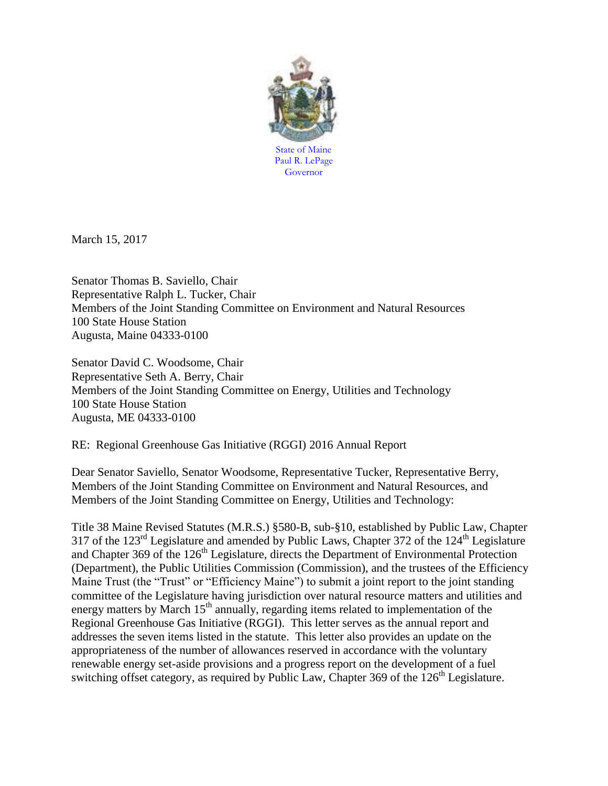

March 15, 2017

Senator Thomas B. Saviello, Chair Representative Ralph L. Tucker, Chair Members of the Joint Standing Committee on Environment and Natural Resources 100 State House Station Augusta, Maine 04333-0100

Senator David C. Woodsome, Chair Representative Seth A. Berry, Chair Members of the Joint Standing Committee on Energy, Utilities and Technology 100 State House Station Augusta, ME 04333-0100

RE: Regional Greenhouse Gas Initiative (RGGI) 2016 Annual Report

Dear Senator Saviello, Senator Woodsome, Representative Tucker, Representative Berry, Members of the Joint Standing Committee on Environment and Natural Resources, and Members of the Joint Standing Committee on Energy, Utilities and Technology:

Title 38 Maine Revised Statutes (M.R.S.) §580-B, sub-§10, established by Public Law, Chapter 317 of the  $123<sup>rd</sup>$  Legislature and amended by Public Laws, Chapter 372 of the  $124<sup>th</sup>$  Legislature and Chapter 369 of the 126<sup>th</sup> Legislature, directs the Department of Environmental Protection (Department), the Public Utilities Commission (Commission), and the trustees of the Efficiency Maine Trust (the "Trust" or "Efficiency Maine") to submit a joint report to the joint standing committee of the Legislature having jurisdiction over natural resource matters and utilities and energy matters by March  $15<sup>th</sup>$  annually, regarding items related to implementation of the Regional Greenhouse Gas Initiative (RGGI). This letter serves as the annual report and addresses the seven items listed in the statute. This letter also provides an update on the appropriateness of the number of allowances reserved in accordance with the voluntary renewable energy set-aside provisions and a progress report on the development of a fuel switching offset category, as required by Public Law, Chapter 369 of the  $126<sup>th</sup>$  Legislature.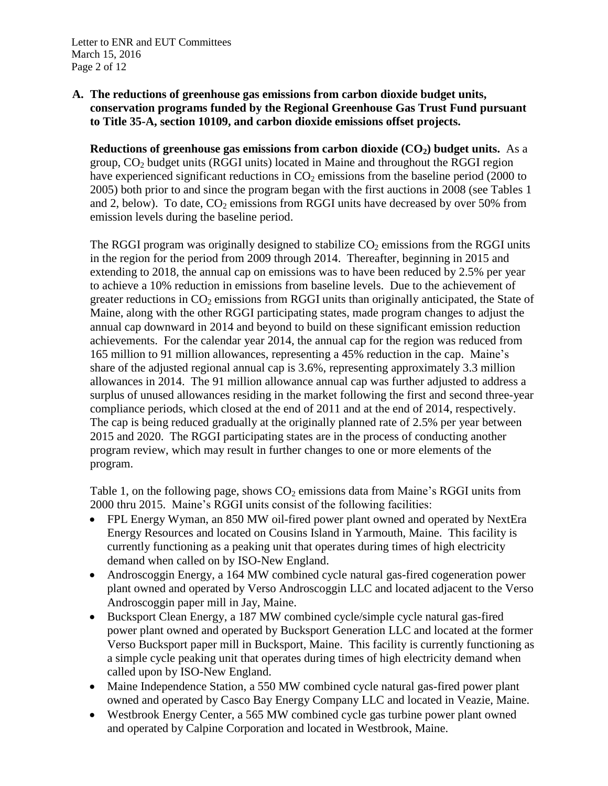# **A. The reductions of greenhouse gas emissions from carbon dioxide budget units, conservation programs funded by the Regional Greenhouse Gas Trust Fund pursuant to Title 35-A, section 10109, and carbon dioxide emissions offset projects.**

**Reductions of greenhouse gas emissions from carbon dioxide (CO2) budget units.** As a group,  $CO<sub>2</sub>$  budget units (RGGI units) located in Maine and throughout the RGGI region have experienced significant reductions in  $CO<sub>2</sub>$  emissions from the baseline period (2000 to 2005) both prior to and since the program began with the first auctions in 2008 (see Tables 1 and 2, below). To date,  $CO<sub>2</sub>$  emissions from RGGI units have decreased by over 50% from emission levels during the baseline period.

The RGGI program was originally designed to stabilize  $CO<sub>2</sub>$  emissions from the RGGI units in the region for the period from 2009 through 2014. Thereafter, beginning in 2015 and extending to 2018, the annual cap on emissions was to have been reduced by 2.5% per year to achieve a 10% reduction in emissions from baseline levels. Due to the achievement of greater reductions in  $CO<sub>2</sub>$  emissions from RGGI units than originally anticipated, the State of Maine, along with the other RGGI participating states, made program changes to adjust the annual cap downward in 2014 and beyond to build on these significant emission reduction achievements. For the calendar year 2014, the annual cap for the region was reduced from 165 million to 91 million allowances, representing a 45% reduction in the cap. Maine's share of the adjusted regional annual cap is 3.6%, representing approximately 3.3 million allowances in 2014. The 91 million allowance annual cap was further adjusted to address a surplus of unused allowances residing in the market following the first and second three-year compliance periods, which closed at the end of 2011 and at the end of 2014, respectively. The cap is being reduced gradually at the originally planned rate of 2.5% per year between 2015 and 2020. The RGGI participating states are in the process of conducting another program review, which may result in further changes to one or more elements of the program.

Table 1, on the following page, shows  $CO<sub>2</sub>$  emissions data from Maine's RGGI units from 2000 thru 2015. Maine's RGGI units consist of the following facilities:

- FPL Energy Wyman, an 850 MW oil-fired power plant owned and operated by NextEra Energy Resources and located on Cousins Island in Yarmouth, Maine. This facility is currently functioning as a peaking unit that operates during times of high electricity demand when called on by ISO-New England.
- Androscoggin Energy, a 164 MW combined cycle natural gas-fired cogeneration power plant owned and operated by Verso Androscoggin LLC and located adjacent to the Verso Androscoggin paper mill in Jay, Maine.
- Bucksport Clean Energy, a 187 MW combined cycle/simple cycle natural gas-fired power plant owned and operated by Bucksport Generation LLC and located at the former Verso Bucksport paper mill in Bucksport, Maine. This facility is currently functioning as a simple cycle peaking unit that operates during times of high electricity demand when called upon by ISO-New England.
- Maine Independence Station, a 550 MW combined cycle natural gas-fired power plant owned and operated by Casco Bay Energy Company LLC and located in Veazie, Maine.
- Westbrook Energy Center, a 565 MW combined cycle gas turbine power plant owned and operated by Calpine Corporation and located in Westbrook, Maine.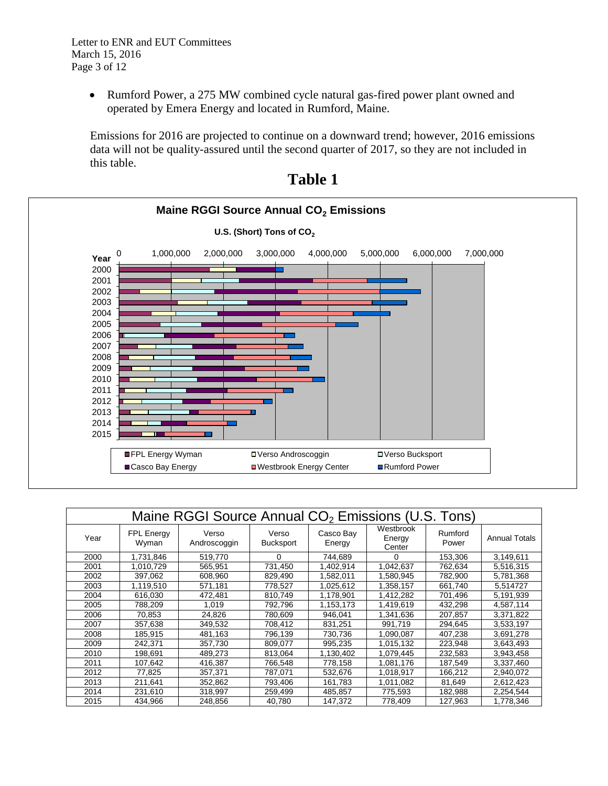Rumford Power, a 275 MW combined cycle natural gas-fired power plant owned and operated by Emera Energy and located in Rumford, Maine.

Emissions for 2016 are projected to continue on a downward trend; however, 2016 emissions data will not be quality-assured until the second quarter of 2017, so they are not included in this table.



| Table |  |
|-------|--|
|-------|--|

| Maine RGGI Source Annual CO <sub>2</sub> Emissions (U.S. Tons) |                     |                       |                           |                     |                               |                  |                      |
|----------------------------------------------------------------|---------------------|-----------------------|---------------------------|---------------------|-------------------------------|------------------|----------------------|
| Year                                                           | FPL Energy<br>Wyman | Verso<br>Androscoggin | Verso<br><b>Bucksport</b> | Casco Bay<br>Energy | Westbrook<br>Energy<br>Center | Rumford<br>Power | <b>Annual Totals</b> |
| 2000                                                           | 1,731,846           | 519,770               | 0                         | 744,689             | 0                             | 153,306          | 3,149,611            |
| 2001                                                           | 1,010,729           | 565,951               | 731,450                   | 1,402,914           | 1,042,637                     | 762,634          | 5,516,315            |
| 2002                                                           | 397,062             | 608,960               | 829,490                   | 1,582,011           | 1,580,945                     | 782,900          | 5,781,368            |
| 2003                                                           | 1,119,510           | 571,181               | 778,527                   | 1,025,612           | 1,358,157                     | 661,740          | 5.514727             |
| 2004                                                           | 616,030             | 472,481               | 810,749                   | 1,178,901           | 1,412,282                     | 701,496          | 5.191.939            |
| 2005                                                           | 788,209             | 1,019                 | 792,796                   | 1,153,173           | 1,419,619                     | 432,298          | 4,587,114            |
| 2006                                                           | 70,853              | 24,826                | 780.609                   | 946.041             | 1.341.636                     | 207.857          | 3.371.822            |
| 2007                                                           | 357,638             | 349,532               | 708,412                   | 831,251             | 991,719                       | 294,645          | 3,533,197            |
| 2008                                                           | 185,915             | 481,163               | 796,139                   | 730,736             | 1.090.087                     | 407,238          | 3.691.278            |
| 2009                                                           | 242,371             | 357,730               | 809,077                   | 995,235             | 1,015,132                     | 223,948          | 3,643,493            |
| 2010                                                           | 198,691             | 489.273               | 813,064                   | 1,130,402           | 1,079,445                     | 232,583          | 3,943,458            |
| 2011                                                           | 107,642             | 416,387               | 766,548                   | 778,158             | 1,081,176                     | 187,549          | 3,337,460            |
| 2012                                                           | 77,825              | 357,371               | 787,071                   | 532,676             | 1,018,917                     | 166,212          | 2,940,072            |
| 2013                                                           | 211.641             | 352,862               | 793.406                   | 161,783             | 1,011,082                     | 81.649           | 2,612,423            |
| 2014                                                           | 231,610             | 318,997               | 259,499                   | 485,857             | 775,593                       | 182,988          | 2,254,544            |
| 2015                                                           | 434.966             | 248.856               | 40,780                    | 147,372             | 778,409                       | 127,963          | 1,778,346            |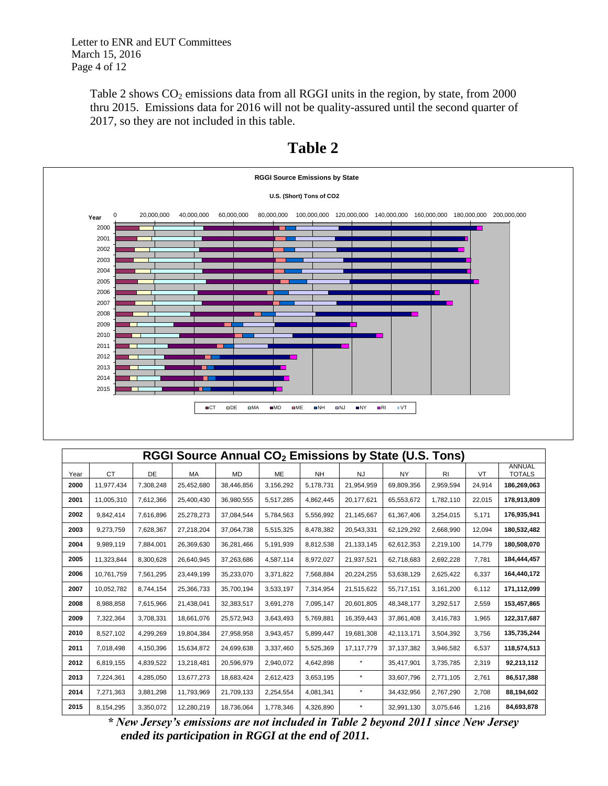Letter to ENR and EUT Committees March 15, 2016 Page 4 of 12

> Table 2 shows  $CO_2$  emissions data from all RGGI units in the region, by state, from 2000 thru 2015. Emissions data for 2016 will not be quality-assured until the second quarter of 2017, so they are not included in this table.



# **Table 2**

|      |            |           |            |            |           |           |            | RGGI Source Annual CO <sub>2</sub> Emissions by State (U.S. Tons) |                |        |                         |
|------|------------|-----------|------------|------------|-----------|-----------|------------|-------------------------------------------------------------------|----------------|--------|-------------------------|
| Year | <b>CT</b>  | <b>DE</b> | MA         | <b>MD</b>  | ME        | <b>NH</b> | <b>NJ</b>  | <b>NY</b>                                                         | R <sub>l</sub> | VT     | ANNUAL<br><b>TOTALS</b> |
| 2000 | 11,977,434 | 7,308,248 | 25,452,680 | 38,446,856 | 3,156,292 | 5,178,731 | 21,954,959 | 69,809,356                                                        | 2,959,594      | 24,914 | 186,269,063             |
| 2001 | 11,005,310 | 7,612,366 | 25,400,430 | 36,980,555 | 5,517,285 | 4,862,445 | 20,177,621 | 65,553,672                                                        | 1,782,110      | 22,015 | 178,913,809             |
| 2002 | 9,842,414  | 7,616,896 | 25,278,273 | 37,084,544 | 5,784,563 | 5,556,992 | 21,145,667 | 61,367,406                                                        | 3,254,015      | 5,171  | 176,935,941             |
| 2003 | 9,273,759  | 7,628,367 | 27,218,204 | 37,064,738 | 5,515,325 | 8,478,382 | 20,543,331 | 62,129,292                                                        | 2,668,990      | 12,094 | 180,532,482             |
| 2004 | 9,989,119  | 7,884,001 | 26,369,630 | 36,281,466 | 5,191,939 | 8,812,538 | 21,133,145 | 62,612,353                                                        | 2,219,100      | 14,779 | 180,508,070             |
| 2005 | 11,323,844 | 8,300,628 | 26,640,945 | 37,263,686 | 4,587,114 | 8,972,027 | 21,937,521 | 62,718,683                                                        | 2,692,228      | 7,781  | 184,444,457             |
| 2006 | 10,761,759 | 7,561,295 | 23,449,199 | 35,233,070 | 3,371,822 | 7,568,884 | 20,224,255 | 53,638,129                                                        | 2,625,422      | 6,337  | 164,440,172             |
| 2007 | 10,052,782 | 8,744,154 | 25,366,733 | 35,700,194 | 3,533,197 | 7,314,954 | 21,515,622 | 55,717,151                                                        | 3,161,200      | 6,112  | 171,112,099             |
| 2008 | 8,988,858  | 7,615,966 | 21,438,041 | 32,383,517 | 3,691,278 | 7,095,147 | 20,601,805 | 48,348,177                                                        | 3,292,517      | 2,559  | 153,457,865             |
| 2009 | 7,322,364  | 3,708,331 | 18,661,076 | 25,572,943 | 3,643,493 | 5,769,881 | 16,359,443 | 37,861,408                                                        | 3,416,783      | 1,965  | 122,317,687             |
| 2010 | 8,527,102  | 4,299,269 | 19,804,384 | 27,958,958 | 3,943,457 | 5,899,447 | 19,681,308 | 42,113,171                                                        | 3,504,392      | 3,756  | 135,735,244             |
| 2011 | 7,018,498  | 4,150,396 | 15,634,872 | 24,699,638 | 3,337,460 | 5,525,369 | 17,117,779 | 37,137,382                                                        | 3,946,582      | 6,537  | 118,574,513             |
| 2012 | 6,819,155  | 4,839,522 | 13,218,481 | 20,596,979 | 2,940,072 | 4,642,898 | $\star$    | 35,417,901                                                        | 3,735,785      | 2,319  | 92,213,112              |
| 2013 | 7,224,361  | 4,285,050 | 13,677,273 | 18,683,424 | 2,612,423 | 3,653,195 | $\star$    | 33,607,796                                                        | 2,771,105      | 2,761  | 86,517,388              |
| 2014 | 7,271,363  | 3,881,298 | 11,793,969 | 21,709,133 | 2,254,554 | 4,081,341 | $\star$    | 34,432,956                                                        | 2,767,290      | 2,708  | 88,194,602              |
| 2015 | 8,154,295  | 3,350,072 | 12,280,219 | 18,736,064 | 1,778,346 | 4,326,890 | $\ast$     | 32,991,130                                                        | 3,075,646      | 1,216  | 84,693,878              |

*\* New Jersey's emissions are not included in Table 2 beyond 2011 since New Jersey ended its participation in RGGI at the end of 2011.*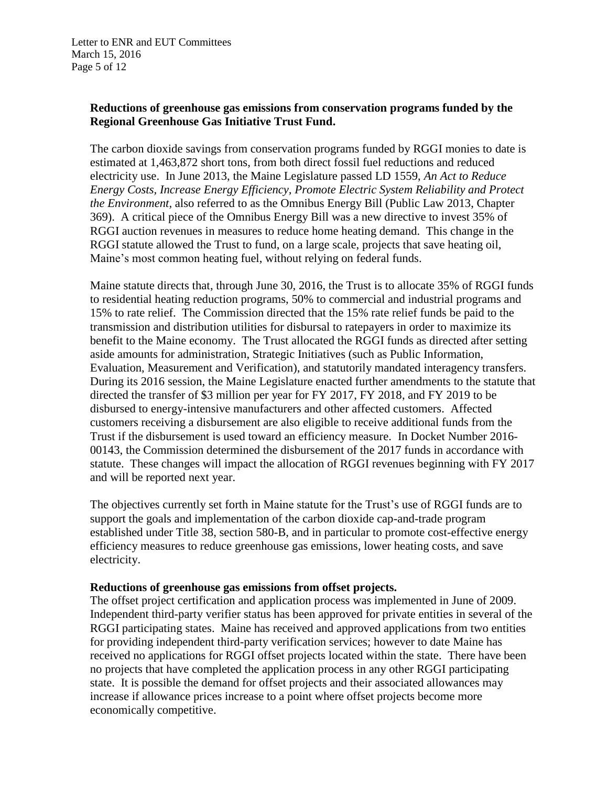# **Reductions of greenhouse gas emissions from conservation programs funded by the Regional Greenhouse Gas Initiative Trust Fund.**

The carbon dioxide savings from conservation programs funded by RGGI monies to date is estimated at 1,463,872 short tons, from both direct fossil fuel reductions and reduced electricity use. In June 2013, the Maine Legislature passed LD 1559, *An Act to Reduce Energy Costs, Increase Energy Efficiency, Promote Electric System Reliability and Protect the Environment,* also referred to as the Omnibus Energy Bill (Public Law 2013, Chapter 369). A critical piece of the Omnibus Energy Bill was a new directive to invest 35% of RGGI auction revenues in measures to reduce home heating demand. This change in the RGGI statute allowed the Trust to fund, on a large scale, projects that save heating oil, Maine's most common heating fuel, without relying on federal funds.

Maine statute directs that, through June 30, 2016, the Trust is to allocate 35% of RGGI funds to residential heating reduction programs, 50% to commercial and industrial programs and 15% to rate relief. The Commission directed that the 15% rate relief funds be paid to the transmission and distribution utilities for disbursal to ratepayers in order to maximize its benefit to the Maine economy. The Trust allocated the RGGI funds as directed after setting aside amounts for administration, Strategic Initiatives (such as Public Information, Evaluation, Measurement and Verification), and statutorily mandated interagency transfers. During its 2016 session, the Maine Legislature enacted further amendments to the statute that directed the transfer of \$3 million per year for FY 2017, FY 2018, and FY 2019 to be disbursed to energy-intensive manufacturers and other affected customers. Affected customers receiving a disbursement are also eligible to receive additional funds from the Trust if the disbursement is used toward an efficiency measure. In Docket Number 2016- 00143, the Commission determined the disbursement of the 2017 funds in accordance with statute. These changes will impact the allocation of RGGI revenues beginning with FY 2017 and will be reported next year.

The objectives currently set forth in Maine statute for the Trust's use of RGGI funds are to support the goals and implementation of the carbon dioxide cap-and-trade program established under Title 38, section 580-B, and in particular to promote cost-effective energy efficiency measures to reduce greenhouse gas emissions, lower heating costs, and save electricity.

## **Reductions of greenhouse gas emissions from offset projects.**

The offset project certification and application process was implemented in June of 2009. Independent third-party verifier status has been approved for private entities in several of the RGGI participating states. Maine has received and approved applications from two entities for providing independent third-party verification services; however to date Maine has received no applications for RGGI offset projects located within the state. There have been no projects that have completed the application process in any other RGGI participating state. It is possible the demand for offset projects and their associated allowances may increase if allowance prices increase to a point where offset projects become more economically competitive.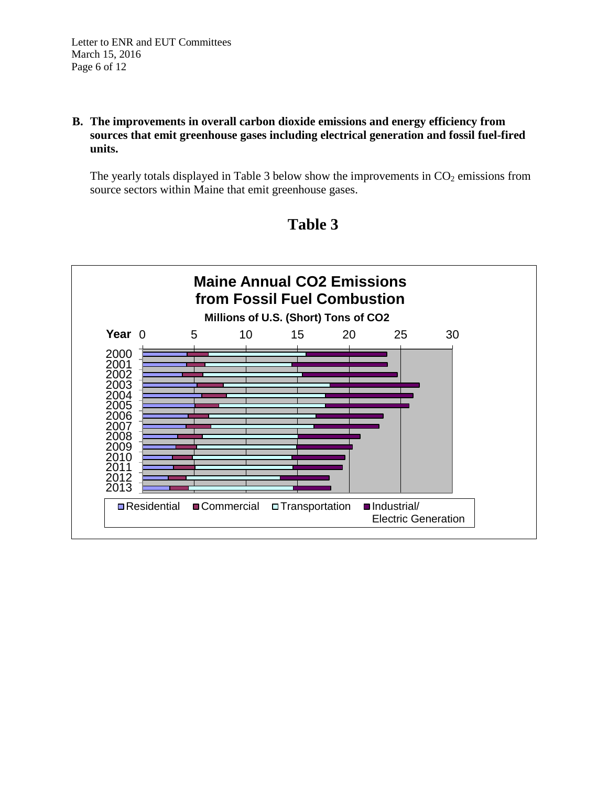# **B. The improvements in overall carbon dioxide emissions and energy efficiency from sources that emit greenhouse gases including electrical generation and fossil fuel-fired units.**

The yearly totals displayed in Table 3 below show the improvements in  $CO<sub>2</sub>$  emissions from source sectors within Maine that emit greenhouse gases.



# **Table 3**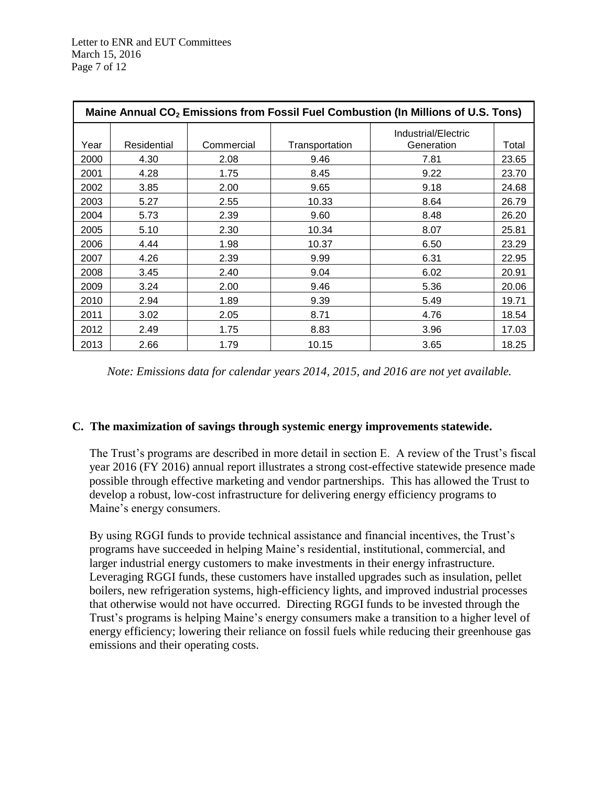| Maine Annual CO <sub>2</sub> Emissions from Fossil Fuel Combustion (In Millions of U.S. Tons) |             |            |                |                                   |       |  |  |  |
|-----------------------------------------------------------------------------------------------|-------------|------------|----------------|-----------------------------------|-------|--|--|--|
| Year                                                                                          | Residential | Commercial | Transportation | Industrial/Electric<br>Generation | Total |  |  |  |
| 2000                                                                                          | 4.30        | 2.08       | 9.46           | 7.81                              | 23.65 |  |  |  |
| 2001                                                                                          | 4.28        | 1.75       | 8.45           | 9.22                              | 23.70 |  |  |  |
| 2002                                                                                          | 3.85        | 2.00       | 9.65           | 9.18                              | 24.68 |  |  |  |
| 2003                                                                                          | 5.27        | 2.55       | 10.33          | 8.64                              | 26.79 |  |  |  |
| 2004                                                                                          | 5.73        | 2.39       | 9.60           | 8.48                              | 26.20 |  |  |  |
| 2005                                                                                          | 5.10        | 2.30       | 10.34          | 8.07                              | 25.81 |  |  |  |
| 2006                                                                                          | 4.44        | 1.98       | 10.37          | 6.50                              | 23.29 |  |  |  |
| 2007                                                                                          | 4.26        | 2.39       | 9.99           | 6.31                              | 22.95 |  |  |  |
| 2008                                                                                          | 3.45        | 2.40       | 9.04           | 6.02                              | 20.91 |  |  |  |
| 2009                                                                                          | 3.24        | 2.00       | 9.46           | 5.36                              | 20.06 |  |  |  |
| 2010                                                                                          | 2.94        | 1.89       | 9.39           | 5.49                              | 19.71 |  |  |  |
| 2011                                                                                          | 3.02        | 2.05       | 8.71           | 4.76                              | 18.54 |  |  |  |
| 2012                                                                                          | 2.49        | 1.75       | 8.83           | 3.96                              | 17.03 |  |  |  |
| 2013                                                                                          | 2.66        | 1.79       | 10.15          | 3.65                              | 18.25 |  |  |  |

*Note: Emissions data for calendar years 2014, 2015, and 2016 are not yet available.*

## **C. The maximization of savings through systemic energy improvements statewide.**

The Trust's programs are described in more detail in section E. A review of the Trust's fiscal year 2016 (FY 2016) annual report illustrates a strong cost-effective statewide presence made possible through effective marketing and vendor partnerships. This has allowed the Trust to develop a robust, low-cost infrastructure for delivering energy efficiency programs to Maine's energy consumers.

By using RGGI funds to provide technical assistance and financial incentives, the Trust's programs have succeeded in helping Maine's residential, institutional, commercial, and larger industrial energy customers to make investments in their energy infrastructure. Leveraging RGGI funds, these customers have installed upgrades such as insulation, pellet boilers, new refrigeration systems, high-efficiency lights, and improved industrial processes that otherwise would not have occurred. Directing RGGI funds to be invested through the Trust's programs is helping Maine's energy consumers make a transition to a higher level of energy efficiency; lowering their reliance on fossil fuels while reducing their greenhouse gas emissions and their operating costs.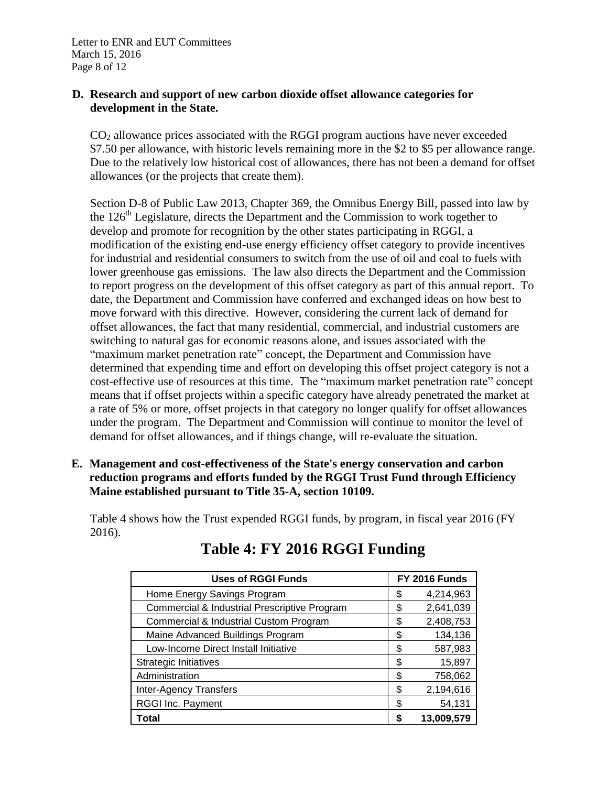## **D. Research and support of new carbon dioxide offset allowance categories for development in the State.**

CO<sup>2</sup> allowance prices associated with the RGGI program auctions have never exceeded \$7.50 per allowance, with historic levels remaining more in the \$2 to \$5 per allowance range. Due to the relatively low historical cost of allowances, there has not been a demand for offset allowances (or the projects that create them).

Section D-8 of Public Law 2013, Chapter 369, the Omnibus Energy Bill, passed into law by the  $126<sup>th</sup>$  Legislature, directs the Department and the Commission to work together to develop and promote for recognition by the other states participating in RGGI, a modification of the existing end-use energy efficiency offset category to provide incentives for industrial and residential consumers to switch from the use of oil and coal to fuels with lower greenhouse gas emissions. The law also directs the Department and the Commission to report progress on the development of this offset category as part of this annual report. To date, the Department and Commission have conferred and exchanged ideas on how best to move forward with this directive. However, considering the current lack of demand for offset allowances, the fact that many residential, commercial, and industrial customers are switching to natural gas for economic reasons alone, and issues associated with the "maximum market penetration rate" concept, the Department and Commission have determined that expending time and effort on developing this offset project category is not a cost-effective use of resources at this time. The "maximum market penetration rate" concept means that if offset projects within a specific category have already penetrated the market at a rate of 5% or more, offset projects in that category no longer qualify for offset allowances under the program. The Department and Commission will continue to monitor the level of demand for offset allowances, and if things change, will re-evaluate the situation.

**E. Management and cost-effectiveness of the State's energy conservation and carbon reduction programs and efforts funded by the RGGI Trust Fund through Efficiency Maine established pursuant to Title 35-A, section 10109.**

Table 4 shows how the Trust expended RGGI funds, by program, in fiscal year 2016 (FY 2016).

| <b>Uses of RGGI Funds</b>                         | FY 2016 Funds |            |  |
|---------------------------------------------------|---------------|------------|--|
| Home Energy Savings Program                       | \$            | 4,214,963  |  |
| Commercial & Industrial Prescriptive Program      | \$            | 2,641,039  |  |
| <b>Commercial &amp; Industrial Custom Program</b> | \$            | 2,408,753  |  |
| Maine Advanced Buildings Program                  | \$            | 134,136    |  |
| Low-Income Direct Install Initiative              | \$            | 587,983    |  |
| <b>Strategic Initiatives</b>                      | \$            | 15,897     |  |
| Administration                                    | \$            | 758,062    |  |
| <b>Inter-Agency Transfers</b>                     | \$            | 2,194,616  |  |
| RGGI Inc. Payment                                 | \$            | 54,131     |  |
| Total                                             | S             | 13,009,579 |  |

# **Table 4: FY 2016 RGGI Funding**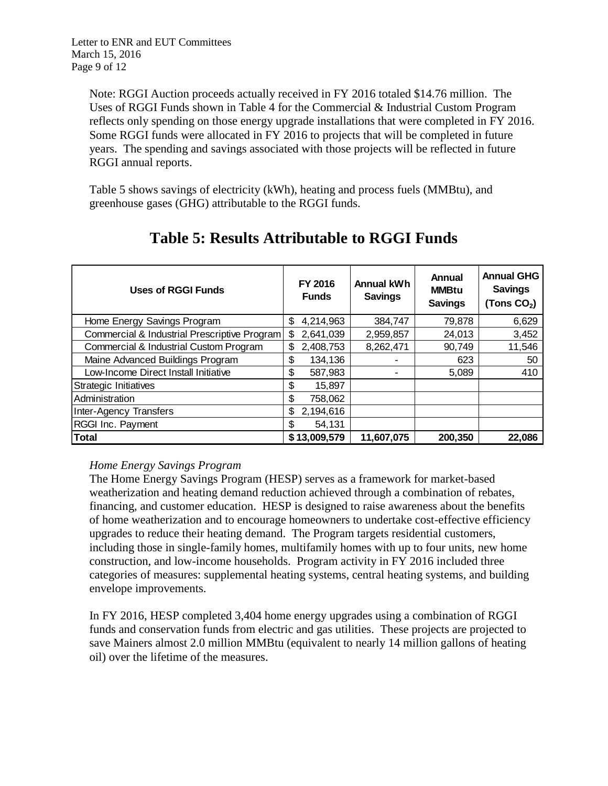Note: RGGI Auction proceeds actually received in FY 2016 totaled \$14.76 million. The Uses of RGGI Funds shown in Table 4 for the Commercial & Industrial Custom Program reflects only spending on those energy upgrade installations that were completed in FY 2016. Some RGGI funds were allocated in FY 2016 to projects that will be completed in future years. The spending and savings associated with those projects will be reflected in future RGGI annual reports.

Table 5 shows savings of electricity (kWh), heating and process fuels (MMBtu), and greenhouse gases (GHG) attributable to the RGGI funds.

| <b>Uses of RGGI Funds</b>                    | FY 2016<br><b>Funds</b> |              | <b>Annual kWh</b><br><b>Savings</b> | Annual<br><b>MMBtu</b><br><b>Savings</b> | <b>Annual GHG</b><br><b>Savings</b><br>(Tons $CO2$ ) |
|----------------------------------------------|-------------------------|--------------|-------------------------------------|------------------------------------------|------------------------------------------------------|
| Home Energy Savings Program                  | \$                      | 4,214,963    | 384,747                             | 79,878                                   | 6,629                                                |
| Commercial & Industrial Prescriptive Program | \$                      | 2,641,039    | 2,959,857                           | 24,013                                   | 3,452                                                |
| Commercial & Industrial Custom Program       | \$                      | 2,408,753    | 8,262,471                           | 90,749                                   | 11,546                                               |
| Maine Advanced Buildings Program             | \$                      | 134,136      |                                     | 623                                      | 50                                                   |
| Low-Income Direct Install Initiative         | \$                      | 587,983      | ٠                                   | 5,089                                    | 410                                                  |
| Strategic Initiatives                        | \$                      | 15,897       |                                     |                                          |                                                      |
| Administration                               | \$                      | 758,062      |                                     |                                          |                                                      |
| <b>Inter-Agency Transfers</b>                | \$                      | 2,194,616    |                                     |                                          |                                                      |
| RGGI Inc. Payment                            | \$.                     | 54,131       |                                     |                                          |                                                      |
| <b>Total</b>                                 |                         | \$13,009,579 | 11,607,075                          | 200,350                                  | 22,086                                               |

# **Table 5: Results Attributable to RGGI Funds**

# *Home Energy Savings Program*

The Home Energy Savings Program (HESP) serves as a framework for market-based weatherization and heating demand reduction achieved through a combination of rebates, financing, and customer education. HESP is designed to raise awareness about the benefits of home weatherization and to encourage homeowners to undertake cost-effective efficiency upgrades to reduce their heating demand. The Program targets residential customers, including those in single-family homes, multifamily homes with up to four units, new home construction, and low-income households. Program activity in FY 2016 included three categories of measures: supplemental heating systems, central heating systems, and building envelope improvements.

In FY 2016, HESP completed 3,404 home energy upgrades using a combination of RGGI funds and conservation funds from electric and gas utilities. These projects are projected to save Mainers almost 2.0 million MMBtu (equivalent to nearly 14 million gallons of heating oil) over the lifetime of the measures.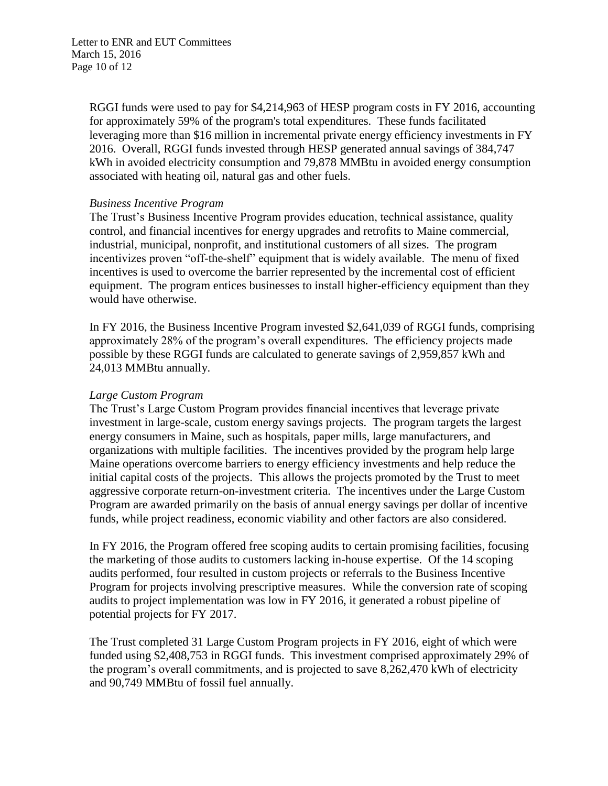Letter to ENR and EUT Committees March 15, 2016 Page 10 of 12

> RGGI funds were used to pay for \$4,214,963 of HESP program costs in FY 2016, accounting for approximately 59% of the program's total expenditures. These funds facilitated leveraging more than \$16 million in incremental private energy efficiency investments in FY 2016. Overall, RGGI funds invested through HESP generated annual savings of 384,747 kWh in avoided electricity consumption and 79,878 MMBtu in avoided energy consumption associated with heating oil, natural gas and other fuels.

## *Business Incentive Program*

The Trust's Business Incentive Program provides education, technical assistance, quality control, and financial incentives for energy upgrades and retrofits to Maine commercial, industrial, municipal, nonprofit, and institutional customers of all sizes. The program incentivizes proven "off-the-shelf" equipment that is widely available. The menu of fixed incentives is used to overcome the barrier represented by the incremental cost of efficient equipment. The program entices businesses to install higher-efficiency equipment than they would have otherwise.

In FY 2016, the Business Incentive Program invested \$2,641,039 of RGGI funds, comprising approximately 28% of the program's overall expenditures. The efficiency projects made possible by these RGGI funds are calculated to generate savings of 2,959,857 kWh and 24,013 MMBtu annually.

## *Large Custom Program*

The Trust's Large Custom Program provides financial incentives that leverage private investment in large-scale, custom energy savings projects. The program targets the largest energy consumers in Maine, such as hospitals, paper mills, large manufacturers, and organizations with multiple facilities. The incentives provided by the program help large Maine operations overcome barriers to energy efficiency investments and help reduce the initial capital costs of the projects. This allows the projects promoted by the Trust to meet aggressive corporate return-on-investment criteria. The incentives under the Large Custom Program are awarded primarily on the basis of annual energy savings per dollar of incentive funds, while project readiness, economic viability and other factors are also considered.

In FY 2016, the Program offered free scoping audits to certain promising facilities, focusing the marketing of those audits to customers lacking in-house expertise. Of the 14 scoping audits performed, four resulted in custom projects or referrals to the Business Incentive Program for projects involving prescriptive measures. While the conversion rate of scoping audits to project implementation was low in FY 2016, it generated a robust pipeline of potential projects for FY 2017.

The Trust completed 31 Large Custom Program projects in FY 2016, eight of which were funded using \$2,408,753 in RGGI funds. This investment comprised approximately 29% of the program's overall commitments, and is projected to save 8,262,470 kWh of electricity and 90,749 MMBtu of fossil fuel annually.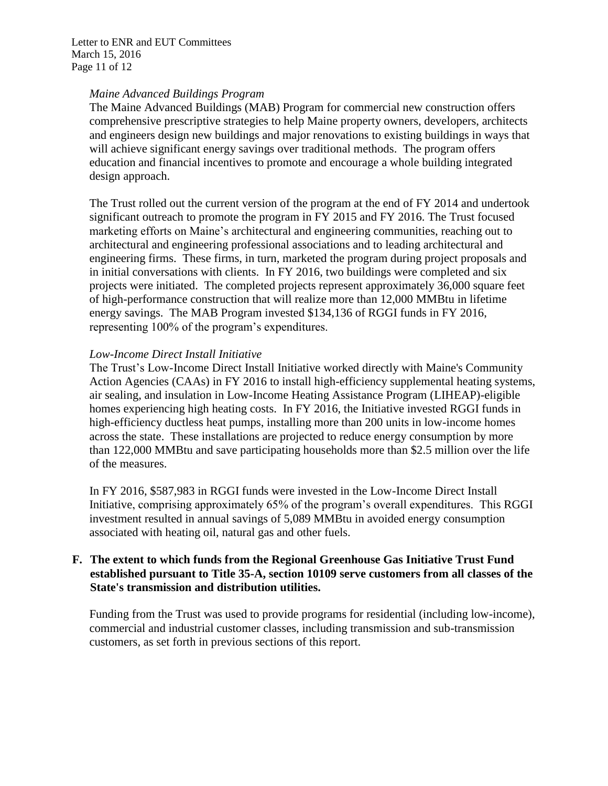Letter to ENR and EUT Committees March 15, 2016 Page 11 of 12

## *Maine Advanced Buildings Program*

The Maine Advanced Buildings (MAB) Program for commercial new construction offers comprehensive prescriptive strategies to help Maine property owners, developers, architects and engineers design new buildings and major renovations to existing buildings in ways that will achieve significant energy savings over traditional methods. The program offers education and financial incentives to promote and encourage a whole building integrated design approach.

The Trust rolled out the current version of the program at the end of FY 2014 and undertook significant outreach to promote the program in FY 2015 and FY 2016. The Trust focused marketing efforts on Maine's architectural and engineering communities, reaching out to architectural and engineering professional associations and to leading architectural and engineering firms. These firms, in turn, marketed the program during project proposals and in initial conversations with clients. In FY 2016, two buildings were completed and six projects were initiated. The completed projects represent approximately 36,000 square feet of high-performance construction that will realize more than 12,000 MMBtu in lifetime energy savings. The MAB Program invested \$134,136 of RGGI funds in FY 2016, representing 100% of the program's expenditures.

# *Low-Income Direct Install Initiative*

The Trust's Low-Income Direct Install Initiative worked directly with Maine's Community Action Agencies (CAAs) in FY 2016 to install high-efficiency supplemental heating systems, air sealing, and insulation in Low-Income Heating Assistance Program (LIHEAP)-eligible homes experiencing high heating costs. In FY 2016, the Initiative invested RGGI funds in high-efficiency ductless heat pumps, installing more than 200 units in low-income homes across the state. These installations are projected to reduce energy consumption by more than 122,000 MMBtu and save participating households more than \$2.5 million over the life of the measures.

In FY 2016, \$587,983 in RGGI funds were invested in the Low-Income Direct Install Initiative, comprising approximately 65% of the program's overall expenditures. This RGGI investment resulted in annual savings of 5,089 MMBtu in avoided energy consumption associated with heating oil, natural gas and other fuels.

# **F. The extent to which funds from the Regional Greenhouse Gas Initiative Trust Fund established pursuant to Title 35-A, section 10109 serve customers from all classes of the State's transmission and distribution utilities.**

Funding from the Trust was used to provide programs for residential (including low-income), commercial and industrial customer classes, including transmission and sub-transmission customers, as set forth in previous sections of this report.